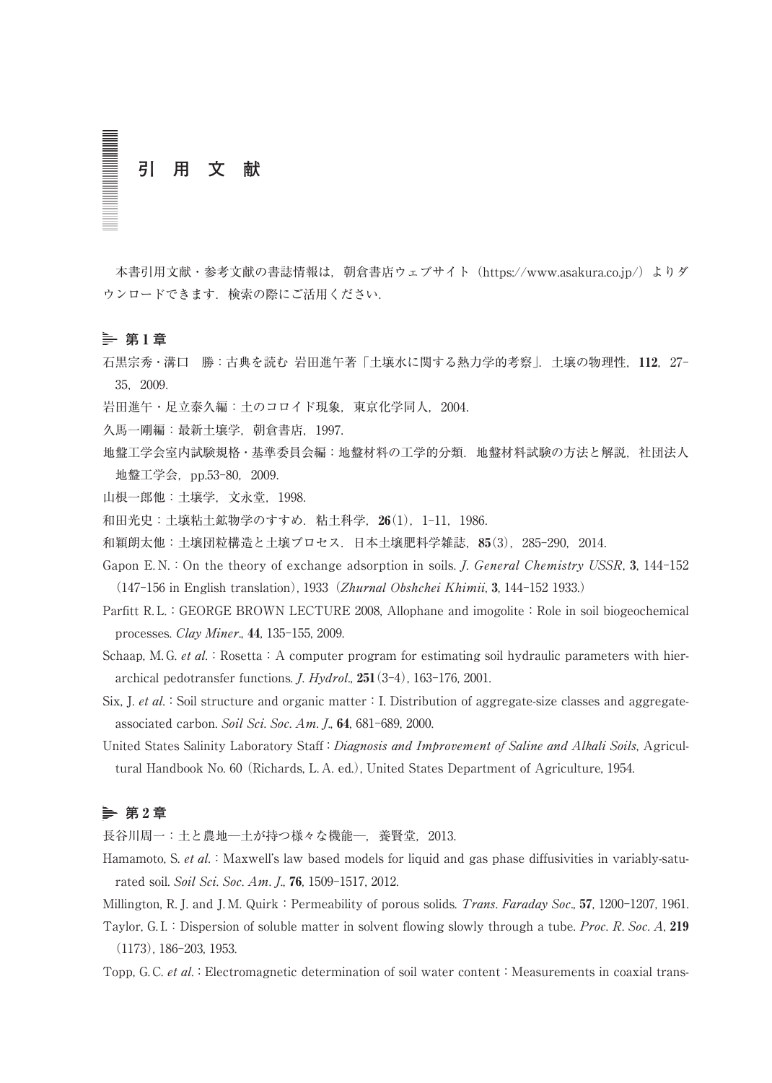# **引 用 文 献**

本書引用文献・参考文献の書誌情報は、朝倉書店ウェブサイト (https://www.asakura.co.jp/) よりダ ウンロードできます.検索の際にご活用ください.

#### **第** 1 **章**

石黒宗秀・溝口 勝:古典を読む 岩田進午著「土壌水に関する熱力学的考察」.土壌の物理性,112,27- 35,2009.

岩田進午・足立泰久編:土のコロイド現象,東京化学同人,2004.

- 久馬一剛編:最新土壌学,朝倉書店,1997.
- 地盤工学会室内試験規格・基準委員会編:地盤材料の工学的分類.地盤材料試験の方法と解説,社団法人 地盤工学会,pp.53-80,2009.

山根一郎他:土壌学,文永堂,1998.

和田光史:土壌粘土鉱物学のすすめ. 粘土科学, 26(1), 1-11, 1986.

和穎朗太他:土壌団粒構造と土壌プロセス.日本土壌肥料学雑誌,85(3),285-290,2014.

Gapon E.N.: On the theory of exchange adsorption in soils. *J. General Chemistry USSR*, 3, 144-152 (147-156 in English translation), 1933(Zhurnal Obshchei Khimii, 3, 144-152 1933.)

- Parfitt R.L.: GEORGE BROWN LECTURE 2008, Allophane and imogolite: Role in soil biogeochemical processes. Clay Miner., 44, 135-155, 2009.
- Schaap, M. G. et al.: Rosetta: A computer program for estimating soil hydraulic parameters with hierarchical pedotransfer functions. J. Hydrol., 251(3-4), 163-176, 2001.
- Six, J. et al.: Soil structure and organic matter: I. Distribution of aggregate-size classes and aggregateassociated carbon. Soil Sci. Soc. Am. J., 64, 681-689, 2000.
- United States Salinity Laboratory Staff: Diagnosis and Improvement of Saline and Alkali Soils, Agricultural Handbook No. 60(Richards, L. A. ed.), United States Department of Agriculture, 1954.

# **第** 2 **章**

長谷川周一:土と農地一土が持つ様々な機能一,養賢堂, 2013.

Hamamoto, S. et al.: Maxwell's law based models for liquid and gas phase diffusivities in variably-saturated soil. Soil Sci. Soc. Am. J., 76, 1509-1517, 2012.

Millington, R. J. and J. M. Quirk: Permeability of porous solids. *Trans. Faraday Soc.*, 57, 1200-1207, 1961.

Taylor, G.I.: Dispersion of soluble matter in solvent flowing slowly through a tube. Proc. R. Soc. A, 219 (1173), 186-203, 1953.

Topp, G. C. et al.: Electromagnetic determination of soil water content: Measurements in coaxial trans-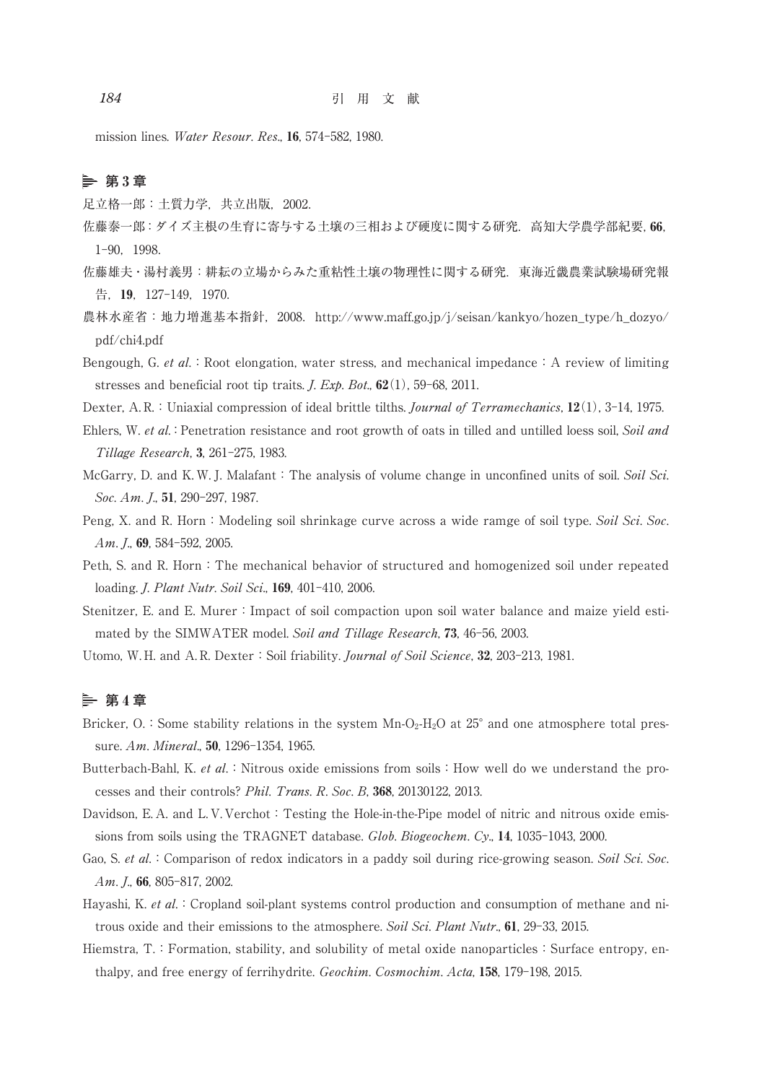mission lines. Water Resour. Res., 16, 574-582, 1980.

## **第** 3 **章**

足立格一郎:土質力学,共立出版,2002.

- 佐藤泰一郎:ダイズ主根の生育に寄与する土壌の三相および硬度に関する研究. 高知大学農学部紀要,66. 1-90,1998.
- 佐藤雄夫・湯村義男:耕耘の立場からみた重粘性土壌の物理性に関する研究.東海近畿農業試験場研究報 告,19,127-149,1970.
- 農林水産省: 地力増進基本指針, 2008. http://www.maff.go.jp/j/seisan/kankyo/hozen\_type/h\_dozyo/ pdf/chi4.pdf
- Bengough, G. et al.: Root elongation, water stress, and mechanical impedance: A review of limiting stresses and beneficial root tip traits. *J. Exp. Bot.*,  $62(1)$ , 59-68, 2011.
- Dexter, A. R.: Uniaxial compression of ideal brittle tilths. Journal of Terramechanics, 12(1), 3-14, 1975.
- Ehlers, W. et al.: Penetration resistance and root growth of oats in tilled and untilled loess soil, Soil and Tillage Research, 3, 261-275, 1983.
- McGarry, D. and K. W. J. Malafant: The analysis of volume change in unconfined units of soil. Soil Sci. Soc. Am. L. 51, 290-297, 1987.
- Peng, X. and R. Horn: Modeling soil shrinkage curve across a wide ramge of soil type. Soil Sci. Soc. Am. *J.*, 69, 584-592, 2005.
- Peth, S. and R. Horn: The mechanical behavior of structured and homogenized soil under repeated loading. *I. Plant Nutr. Soil Sci.*, **169**, 401-410, 2006.
- Stenitzer, E. and E. Murer: Impact of soil compaction upon soil water balance and maize yield estimated by the SIMWATER model. Soil and Tillage Research, 73, 46-56, 2003.

Utomo, W. H. and A. R. Dexter: Soil friability. *Journal of Soil Science*, 32, 203-213, 1981.

## **第** 4 **章**

- Bricker, O.: Some stability relations in the system  $Mn-O<sub>2</sub>-H<sub>2</sub>O$  at 25° and one atmosphere total pressure. Am. Mineral., 50, 1296-1354, 1965.
- Butterbach-Bahl, K. et al.: Nitrous oxide emissions from soils: How well do we understand the processes and their controls? Phil. Trans. R. Soc. B, 368, 20130122, 2013.
- Davidson, E. A. and L. V. Verchot: Testing the Hole-in-the-Pipe model of nitric and nitrous oxide emissions from soils using the TRAGNET database. Glob. Biogeochem. Cy., 14, 1035-1043, 2000.
- Gao, S. et al.: Comparison of redox indicators in a paddy soil during rice-growing season. Soil Sci. Soc. Am. J., 66, 805-817, 2002.
- Hayashi, K. et al.: Cropland soil-plant systems control production and consumption of methane and nitrous oxide and their emissions to the atmosphere. Soil Sci. Plant Nutr., 61, 29-33, 2015.
- Hiemstra,  $T$ .: Formation, stability, and solubility of metal oxide nanoparticles: Surface entropy, enthalpy, and free energy of ferrihydrite. Geochim. Cosmochim. Acta, 158, 179-198, 2015.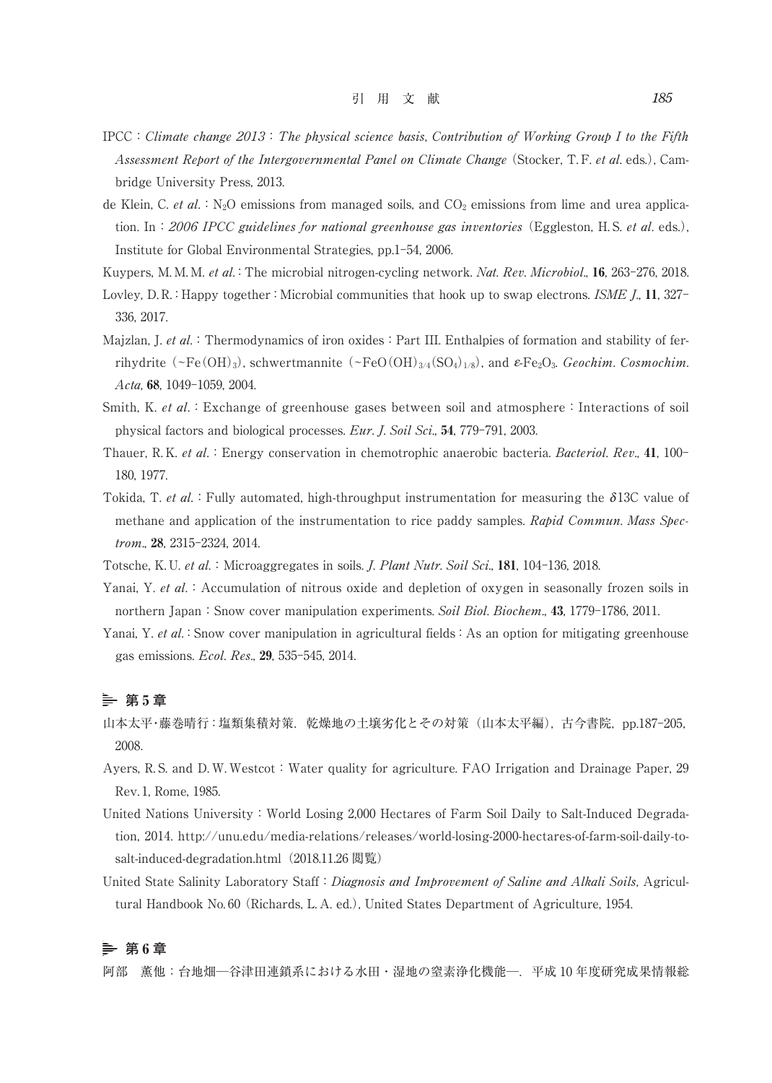- $IPCC:$  Climate change  $2013:$  The physical science basis, Contribution of Working Group I to the Fifth Assessment Report of the Intergovernmental Panel on Climate Change (Stocker, T.F. et al. eds.), Cambridge University Press, 2013.
- de Klein, C. et al.: N<sub>2</sub>O emissions from managed soils, and  $CO<sub>2</sub>$  emissions from lime and urea application. In: 2006 IPCC guidelines for national greenhouse gas inventories (Eggleston, H.S. et al. eds.), Institute for Global Environmental Strategies, pp.1-54, 2006.

Kuypers, M. M. M. et al.: The microbial nitrogen-cycling network. Nat. Rev. Microbiol., 16, 263-276, 2018.

- Lovley, D. R.: Happy together: Microbial communities that hook up to swap electrons. ISME J., 11, 327-336, 2017.
- Majzlan, J. et al.: Thermodynamics of iron oxides: Part III. Enthalpies of formation and stability of ferrihydrite(∼Fe(OH)3), schwertmannite(∼FeO(OH)3/4(SO4)1/8), and e-Fe2O3. Geochim. Cosmochim. Acta, 68, 1049-1059, 2004.
- Smith, K. et al.: Exchange of greenhouse gases between soil and atmosphere: Interactions of soil physical factors and biological processes. Eur. J. Soil Sci., 54, 779-791, 2003.
- Thauer, R. K. et al.: Energy conservation in chemotrophic anaerobic bacteria. Bacteriol. Rev., 41, 100-180, 1977.
- Tokida, T. et al.: Fully automated, high-throughput instrumentation for measuring the  $\delta$ 13C value of methane and application of the instrumentation to rice paddy samples. Rapid Commun. Mass Spectrom., 28, 2315-2324, 2014.
- Totsche, K. U. et al.: Microaggregates in soils. *J. Plant Nutr. Soil Sci.*, 181, 104-136, 2018.
- Yanai, Y. et al.: Accumulation of nitrous oxide and depletion of oxygen in seasonally frozen soils in northern Japan: Snow cover manipulation experiments. Soil Biol. Biochem., 43, 1779-1786, 2011.
- Yanai, Y. et al.: Snow cover manipulation in agricultural fields: As an option for mitigating greenhouse gas emissions. Ecol. Res., 29, 535-545, 2014.

#### **第** 5 **章**

- 山本太平·藤巻晴行:塩類集積対策. 乾燥地の土壌劣化とその対策(山本太平編), 古今書院, pp.187-205, 2008.
- Ayers, R.S. and D.W. Westcot: Water quality for agriculture. FAO Irrigation and Drainage Paper, 29 Rev. 1, Rome, 1985.
- United Nations University:World Losing 2,000 Hectares of Farm Soil Daily to Salt-Induced Degradation, 2014. http://unu.edu/media-relations/releases/world-losing-2000-hectares-of-farm-soil-daily-tosalt-induced-degradation.html (2018.11.26 閲覧)
- United State Salinity Laboratory Staff: Diagnosis and Improvement of Saline and Alkali Soils, Agricultural Handbook No. 60 (Richards, L. A. ed.), United States Department of Agriculture, 1954.

# **第** 6 **章**

阿部 董他:台地畑-令津田連鎖系における水田・湿地の窒素浄化機能-- 平成 10 年度研究成果情報総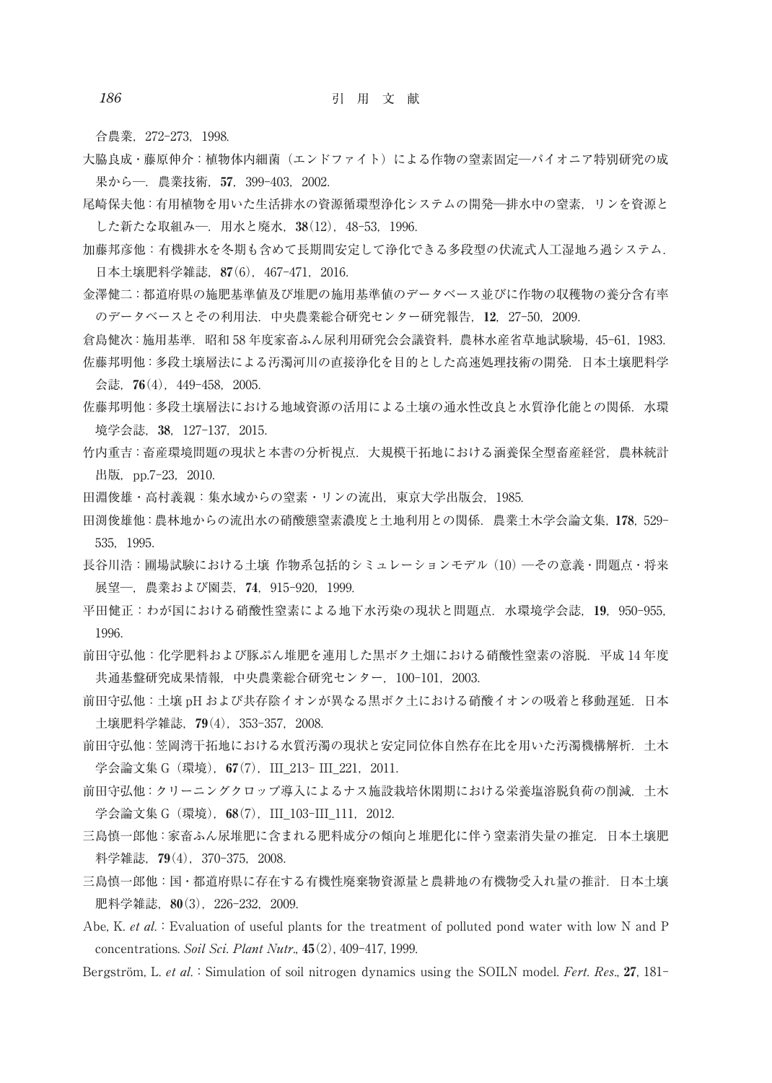合農業,272-273,1998.

- 大脇良成・藤原伸介:植物体内細菌(エンドファイト)による作物の窒素固定─パイオニア特別研究の成 果から─.農業技術,57,399-403,2002.
- 尾崎保夫他:有用植物を用いた生活排水の資源循環型浄化システムの開発─排水中の窒素,リンを資源と した新たな取組み─.用水と廃水,38(12),48-53,1996.
- 加藤邦彦他:有機排水を冬期も含めて長期間安定して浄化できる多段型の伏流式人工湿地ろ過システム. 日本土壌肥料学雑誌,87(6),467-471,2016.
- 金澤健二:都道府県の施肥基準値及び堆肥の施用基準値のデータベース並びに作物の収穫物の養分含有率 のデータベースとその利用法.中央農業総合研究センター研究報告,12,27-50,2009.

倉島健次:施用基準.昭和 58 年度家畜ふん尿利用研究会会議資料,農林水産省草地試験場,45-61,1983. 佐藤邦明他:多段土壌層法による汚濁河川の直接浄化を目的とした高速処理技術の開発.日本土壌肥料学

会誌,76(4),449-458,2005.

- 佐藤邦明他:多段土壌層法における地域資源の活用による土壌の通水性改良と水質浄化能との関係.水環 境学会誌,38,127-137,2015.
- 竹内重吉:畜産環境問題の現状と本書の分析視点.大規模干拓地における涵養保全型畜産経営,農林統計 出版, pp.7-23, 2010.
- 田淵俊雄・高村義親:集水域からの窒素・リンの流出,東京大学出版会,1985.
- 田渕俊雄他:農林地からの流出水の硝酸態窒素濃度と土地利用との関係.農業土木学会論文集,178,529- 535,1995.
- 長谷川浩:圃場試験における土壌 作物系包括的シミュレーションモデル(10)─その意義・問題点・将来 展望─,農業および園芸,74,915-920,1999.
- 平田健正:わが国における硝酸性窒素による地下水汚染の現状と問題点. 水環境学会誌. 19,950-955, 1996.
- 前田守弘他:化学肥料および豚ぷん堆肥を連用した黒ボク土畑における硝酸性窒素の溶脱.平成 14 年度 共通基盤研究成果情報, 中央農業総合研究センター, 100-101, 2003.
- 前田守弘他:土壌 pH および共存陰イオンが異なる黒ボク土における硝酸イオンの吸着と移動遅延.日本 土壌肥料学雑誌,79(4),353-357,2008.
- 前田守弘他:笠岡湾干拓地における水質汚濁の現状と安定同位体自然存在比を用いた汚濁機構解析.土木 学会論文集 G (環境), 67(7), III 213- III 221, 2011.
- 前田守弘他:クリーニングクロップ導入によるナス施設栽培休閑期における栄養塩溶脱負荷の削減.土木 学会論文集 G (環境), 68(7), III 103-III 111, 2012.
- 三島慎一郎他:家畜ふん尿堆肥に含まれる肥料成分の傾向と堆肥化に伴う窒素消失量の推定. 日本土壌肥 料学雑誌, 79(4), 370-375, 2008.
- 三島慎一郎他:国·都道府県に存在する有機性廃棄物資源量と農耕地の有機物受入れ量の推計. 日本土壌 肥料学雑誌, 80(3), 226-232, 2009.
- Abe, K. et al. : Evaluation of useful plants for the treatment of polluted pond water with low N and P concentrations. Soil Sci. Plant Nutr., 45(2), 409-417, 1999.
- Bergström, L. et al.: Simulation of soil nitrogen dynamics using the SOILN model. Fert. Res., 27, 181-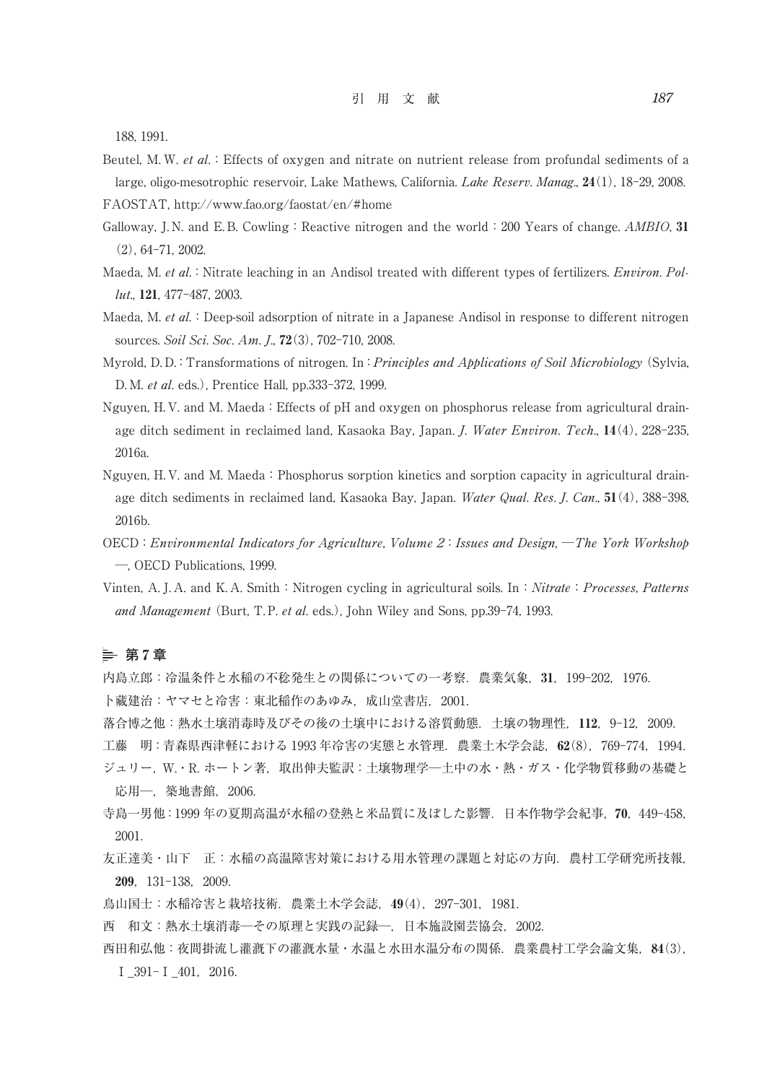188, 1991.

Beutel, M. W. et al.: Effects of oxygen and nitrate on nutrient release from profundal sediments of a large, oligo-mesotrophic reservoir, Lake Mathews, California. Lake Reserv. Manag., 24(1), 18-29, 2008.

FAOSTAT, http://www.fao.org/faostat/en/#home

- Galloway, J.N. and E.B. Cowling: Reactive nitrogen and the world: 200 Years of change.  $AMBIO$ , 31 (2), 64-71, 2002.
- Maeda, M. et al.: Nitrate leaching in an Andisol treated with different types of fertilizers. Environ. Pollut., 121, 477-487, 2003.
- Maeda, M. et al.: Deep-soil adsorption of nitrate in a Japanese Andisol in response to different nitrogen sources. Soil Sci. Soc. Am. J., **72**(3), 702-710, 2008.
- Myrold, D. D.: Transformations of nitrogen. In: *Principles and Applications of Soil Microbiology* (Sylvia, D. M. et al. eds.), Prentice Hall, pp.333-372, 1999.
- Nguyen, H. V. and M. Maeda: Effects of pH and oxygen on phosphorus release from agricultural drainage ditch sediment in reclaimed land, Kasaoka Bay, Japan. J. Water Environ. Tech., 14(4), 228-235, 2016a.
- Nguyen, H. V. and M. Maeda:Phosphorus sorption kinetics and sorption capacity in agricultural drainage ditch sediments in reclaimed land, Kasaoka Bay, Japan. Water Qual. Res. J. Can., 51(4), 388-398, 2016b.
- OECD:Environmental Indicators for Agriculture, Volume 2:Issues and Design, ─The York Workshop ─, OECD Publications, 1999.
- Vinten, A. J. A. and K. A. Smith: Nitrogen cycling in agricultural soils. In: Nitrate: Processes, Patterns and Management (Burt, T.P. et al. eds.), John Wiley and Sons, pp.39-74, 1993.

## **第** 7 **章**

内島立郎:冷温条件と水稲の不稔発生との関係についての一考察.農業気象,31,199-202,1976.

卜藏建治:ヤマセと冷害:東北稲作のあゆみ,成山堂書店,2001.

落合博之他:熱水土壌消毒時及びその後の土壌中における溶質動態.土壌の物理性,112,9-12,2009.

工藤 明:青森県西津軽における 1993 年冷害の実態と水管理.農業土木学会誌,62(8),769-774,1994.

- ジュリー, W. · R. ホートン著, 取出伸夫監訳:土壌物理学--土中の水·熱·ガス·化学物質移動の基礎と 応用─,築地書館,2006.
- 寺島一男他:1999 年の夏期高温が水稲の登熟と米品質に及ぼした影響.日本作物学会紀事,70,449-458, 2001.
- 友正達美・山下 正:水稲の高温障害対策における用水管理の課題と対応の方向.農村工学研究所技報, 209,131-138,2009.
- 鳥山国士:水稲冷害と栽培技術.農業土木学会誌,49(4),297-301,1981.
- 西 和文:熱水土壌消毒─その原理と実践の記録─,日本施設園芸協会,2002.
- 西田和弘他:夜間掛流し灌漑下の灌漑水量・水温と水田水温分布の関係.農業農村工学会論文集,84(3), Ⅰ\_391-Ⅰ\_401,2016.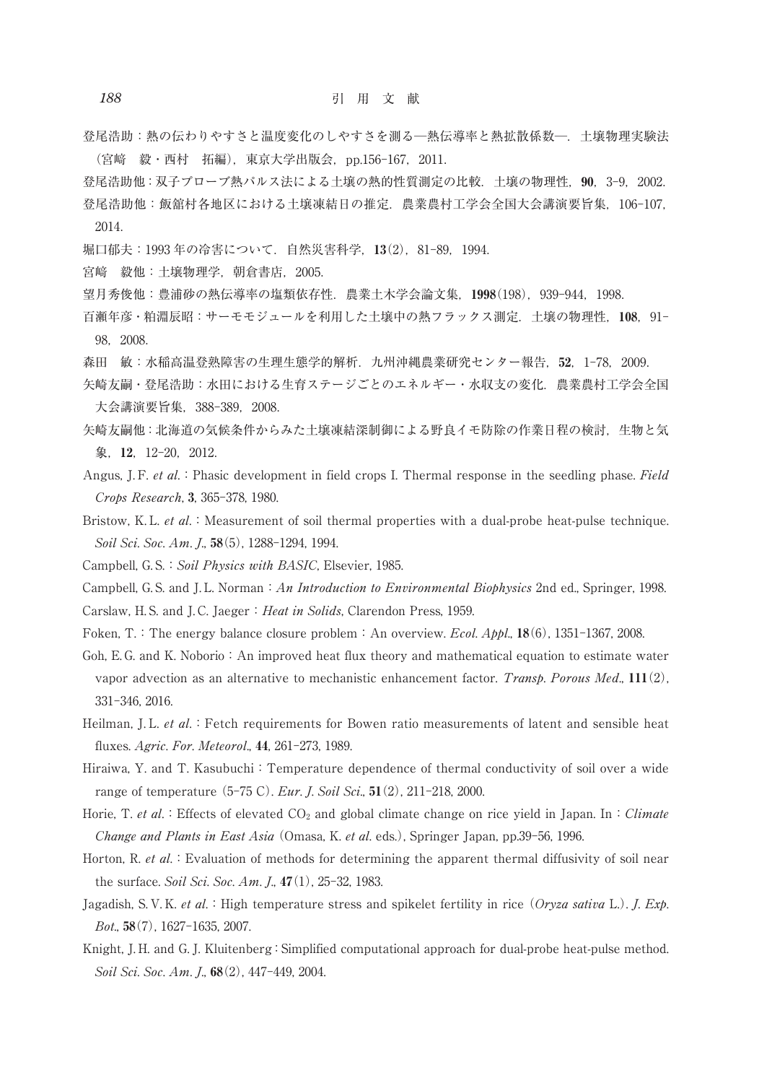- 登尾浩助:熱の伝わりやすさと温度変化のしやすさを測る─熱伝導率と熱拡散係数─.土壌物理実験法 (宮﨑 毅・西村 拓編),東京大学出版会,pp.156-167,2011.
- 登尾浩助他: 双子プローブ熱パルス法による土壌の熱的性質測定の比較. 土壌の物理性, 90, 3-9, 2002. 登尾浩助他:飯舘村各地区における土壌凍結日の推定.農業農村工学会全国大会講演要旨集,106-107, 2014.
- 堀口郁夫:1993 年の冷害について.自然災害科学,13(2),81-89,1994.
- 宮﨑 毅他:土壌物理学,朝倉書店,2005.
- 望月秀俊他:豊浦砂の熱伝導率の塩類依存性.農業土木学会論文集,1998(198),939-944,1998.
- 百瀬年彦・粕淵辰昭:サーモモジュールを利用した土壌中の熱フラックス測定.土壌の物理性,108,91- 98,2008.
- 森田 敏:水稲高温登熟障害の生理生態学的解析.九州沖縄農業研究センター報告,52,1-78,2009.
- 矢崎友嗣・登尾浩助:水田における生育ステージごとのエネルギー・水収支の変化.農業農村工学会全国 大会講演要旨集,388-389,2008.
- 矢崎友嗣他:北海道の気候条件からみた土壌凍結深制御による野良イモ防除の作業日程の検討,生物と気 象, 12, 12-20, 2012.
- Angus, J. F. et al.: Phasic development in field crops I. Thermal response in the seedling phase. Field Crops Research, 3, 365-378, 1980.
- Bristow, K. L. et al.: Measurement of soil thermal properties with a dual-probe heat-pulse technique. Soil Sci. Soc. Am. J., 58(5), 1288-1294, 1994.
- Campbell, G. S.: Soil Physics with BASIC, Elsevier, 1985.
- Campbell, G. S. and J. L. Norman: An Introduction to Environmental Biophysics 2nd ed., Springer, 1998.
- Carslaw, H.S. and J.C. Jaeger: Heat in Solids, Clarendon Press, 1959.
- Foken, T.: The energy balance closure problem: An overview. *Ecol. Appl.*, 18(6), 1351-1367, 2008.
- Goh, E. G. and K. Noborio: An improved heat flux theory and mathematical equation to estimate water vapor advection as an alternative to mechanistic enhancement factor. Transp. Porous Med.,  $111(2)$ , 331-346, 2016.
- Heilman, J. L. et al.: Fetch requirements for Bowen ratio measurements of latent and sensible heat fluxes. Agric. For. Meteorol., 44, 261-273, 1989.
- Hiraiwa, Y. and T. Kasubuchi: Temperature dependence of thermal conductivity of soil over a wide range of temperature (5-75 C). Eur. J. Soil Sci., 51(2), 211-218, 2000.
- Horie, T. et al.: Effects of elevated  $CO<sub>2</sub>$  and global climate change on rice yield in Japan. In: Climate Change and Plants in East Asia (Omasa, K. et al. eds.), Springer Japan, pp.39-56, 1996.
- Horton, R. et al.: Evaluation of methods for determining the apparent thermal diffusivity of soil near the surface. Soil Sci. Soc. Am. J., 47(1), 25-32, 1983.
- Jagadish, S. V. K. et al.: High temperature stress and spikelet fertility in rice (Oryza sativa L.). J. Exp. Bot., 58(7), 1627-1635, 2007.
- Knight, J. H. and G. J. Kluitenberg:Simplified computational approach for dual-probe heat-pulse method. Soil Sci. Soc. Am. J., 68(2), 447-449, 2004.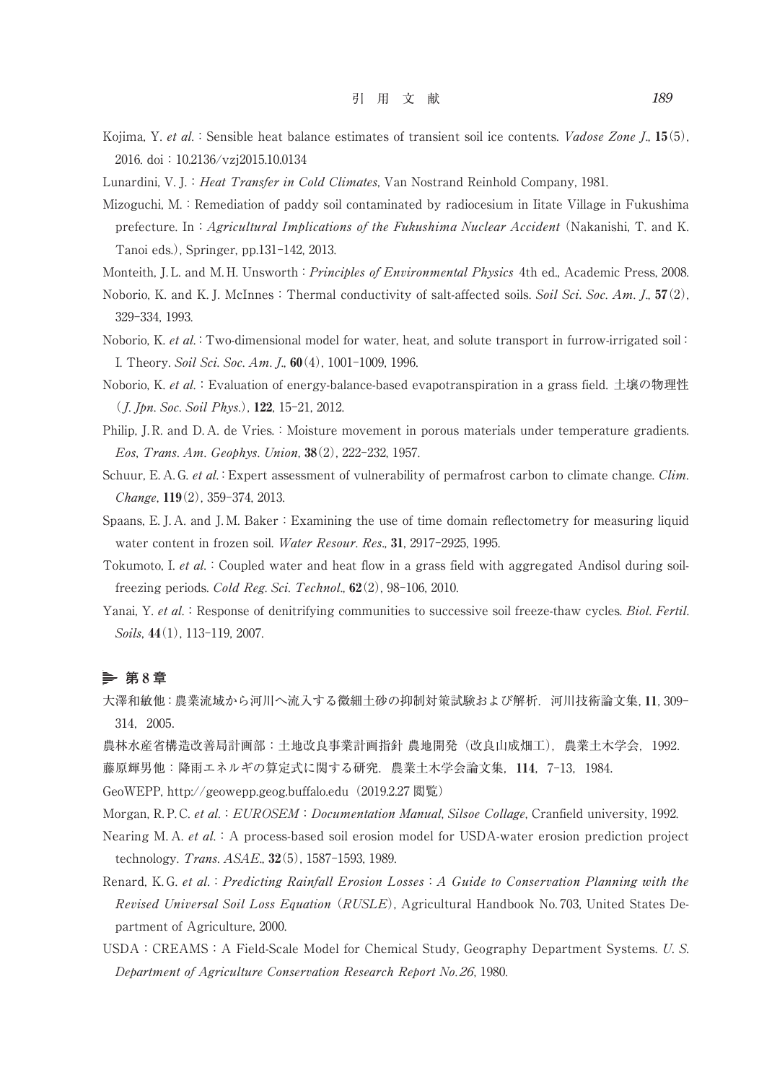- Kojima, Y. et al.: Sensible heat balance estimates of transient soil ice contents. Vadose Zone J., 15(5), 2016. doi:10.2136/vzj2015.10.0134
- Lunardini, V. J.: *Heat Transfer in Cold Climates*, Van Nostrand Reinhold Company, 1981.
- Mizoguchi, M.: Remediation of paddy soil contaminated by radiocesium in Iitate Village in Fukushima prefecture. In: Agricultural Implications of the Fukushima Nuclear Accident (Nakanishi, T. and K. Tanoi eds.), Springer, pp.131-142, 2013.
- Monteith, J. L. and M. H. Unsworth: Principles of Environmental Physics 4th ed., Academic Press, 2008.
- Noborio, K. and K. J. McInnes: Thermal conductivity of salt-affected soils. Soil Sci. Soc. Am. J.,  $57(2)$ , 329-334, 1993.
- Noborio, K. et al.: Two-dimensional model for water, heat, and solute transport in furrow-irrigated soil: I. Theory. Soil Sci. Soc. Am. J., 60(4), 1001-1009, 1996.
- Noborio, K. et al.:Evaluation of energy-balance-based evapotranspiration in a grass field. 土壌の物理性 ( J. Jpn. Soc. Soil Phys.), 122, 15-21, 2012.
- Philip, J. R. and D. A. de Vries.: Moisture movement in porous materials under temperature gradients. Eos, Trans. Am. Geophys. Union, 38(2), 222-232, 1957.
- Schuur, E. A. G. et al.: Expert assessment of vulnerability of permafrost carbon to climate change. Clim. Change, 119(2), 359-374, 2013.
- Spaans, E. J. A. and J. M. Baker: Examining the use of time domain reflectometry for measuring liquid water content in frozen soil. Water Resour. Res., 31, 2917-2925, 1995.
- Tokumoto, I. et al.: Coupled water and heat flow in a grass field with aggregated Andisol during soilfreezing periods. Cold Reg. Sci. Technol.,  $62(2)$ ,  $98-106$ ,  $2010$ .
- Yanai, Y. et al.: Response of denitrifying communities to successive soil freeze-thaw cycles. Biol. Fertil. Soils, 44(1), 113-119, 2007.

# **第** 8 **章**

- 大澤和敏他:農業流域から河川へ流入する微細土砂の抑制対策試験および解析.河川技術論文集,11,309- 314,2005.
- 農林水産省構造改善局計画部:土地改良事業計画指針 農地開発(改良山成畑工),農業土木学会,1992.
- 藤原輝男他:降雨エネルギの算定式に関する研究.農業土木学会論文集,114,7-13,1984.
- GeoWEPP, http://geowepp.geog.buffalo.edu(2019.2.27 閲覧)
- Morgan, R. P. C. et al.: EUROSEM: Documentation Manual, Silsoe Collage, Cranfield university, 1992.
- Nearing M. A. et al.: A process-based soil erosion model for USDA-water erosion prediction project technology. Trans. ASAE., 32(5), 1587-1593, 1989.
- Renard, K. G. et al.: Predicting Rainfall Erosion Losses: A Guide to Conservation Planning with the Revised Universal Soil Loss Equation (RUSLE), Agricultural Handbook No. 703, United States Department of Agriculture, 2000.
- USDA:CREAMS:A Field-Scale Model for Chemical Study, Geography Department Systems. U. S. Department of Agriculture Conservation Research Report No. 26, 1980.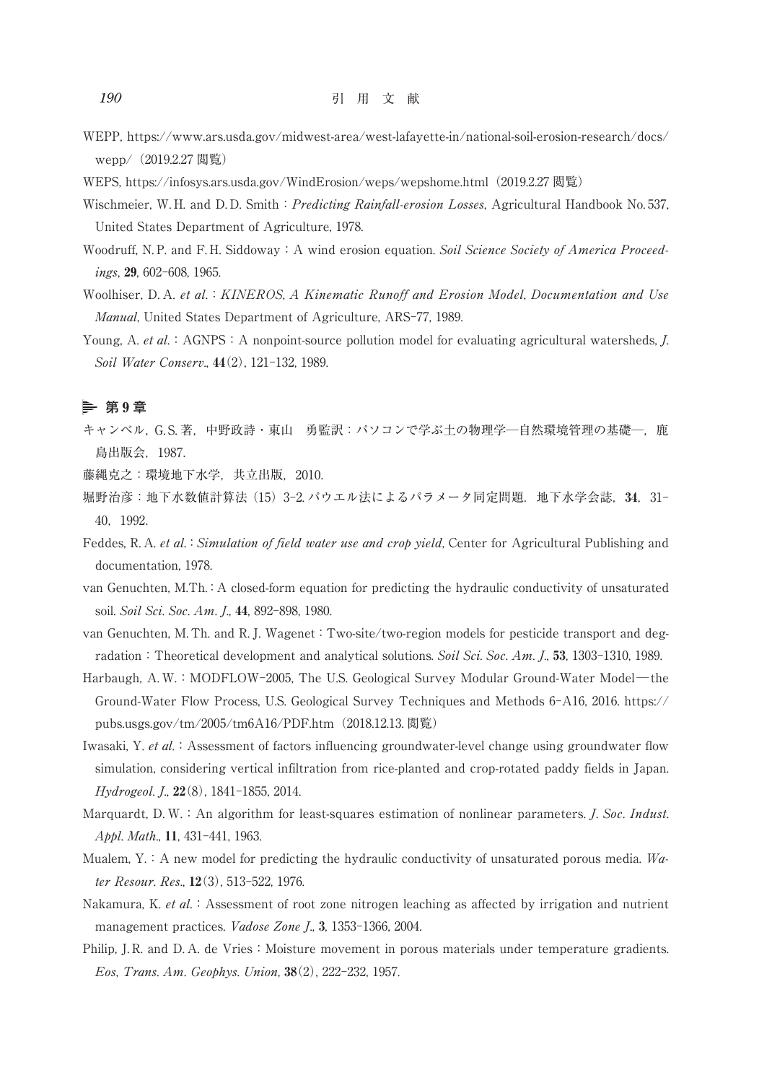WEPP, https://www.ars.usda.gov/midwest-area/west-lafayette-in/national-soil-erosion-research/docs/ wepp/ (2019.2.27 閲覧)

WEPS, https://infosys.ars.usda.gov/WindErosion/weps/wepshome.html (2019.2.27 閲覧)

- Wischmeier, W. H. and D. D. Smith: *Predicting Rainfall-erosion Losses*, Agricultural Handbook No. 537, United States Department of Agriculture, 1978.
- Woodruff, N.P. and F.H. Siddoway: A wind erosion equation. Soil Science Society of America Proceedings, 29, 602-608, 1965.
- Woolhiser, D. A. et al. : KINEROS, A Kinematic Runoff and Erosion Model, Documentation and Use Manual, United States Department of Agriculture, ARS-77, 1989.
- Young, A. et al.: AGNPS: A nonpoint-source pollution model for evaluating agricultural watersheds,  $J$ . Soil Water Conserv., 44(2), 121-132, 1989.

# **第** 9 **章**

キャンベル, G. S. 著, 中野政詩·東山 勇監訳: パソコンで学ぶ土の物理学一自然環境管理の基礎一, 鹿 島出版会,1987.

藤縄克之:環境地下水学,共立出版,2010.

- 堀野治彦:地下水数値計算法(15)3-2. パウエル法によるパラメータ同定問題.地下水学会誌,34,31- 40,1992.
- Feddes, R. A. et al.: Simulation of field water use and crop yield, Center for Agricultural Publishing and documentation, 1978.
- van Genuchten, M.Th.:A closed-form equation for predicting the hydraulic conductivity of unsaturated soil. Soil Sci. Soc. Am. J., 44, 892-898, 1980.

van Genuchten, M. Th. and R. J. Wagenet:Two-site/two-region models for pesticide transport and degradation: Theoretical development and analytical solutions. Soil Sci. Soc. Am. J., 53, 1303-1310, 1989.

- Harbaugh, A. W.:MODFLOW-2005, The U.S. Geological Survey Modular Ground-Water Model—the Ground-Water Flow Process, U.S. Geological Survey Techniques and Methods 6-A16, 2016. https:// pubs.usgs.gov/tm/2005/tm6A16/PDF.htm(2018.12.13. 閲覧)
- Iwasaki, Y. et al.: Assessment of factors influencing groundwater-level change using groundwater flow simulation, considering vertical infiltration from rice-planted and crop-rotated paddy fields in Japan. Hydrogeol. J., 22(8), 1841-1855, 2014.
- Marquardt, D. W.: An algorithm for least-squares estimation of nonlinear parameters. *J. Soc. Indust.* Appl. Math., 11, 431-441, 1963.
- Mualem, Y.: A new model for predicting the hydraulic conductivity of unsaturated porous media. Water Resour. Res., 12(3), 513-522, 1976.
- Nakamura, K. et al.: Assessment of root zone nitrogen leaching as affected by irrigation and nutrient management practices. Vadose Zone J., 3, 1353-1366, 2004.
- Philip, J. R. and D. A. de Vries: Moisture movement in porous materials under temperature gradients. Eos, Trans. Am. Geophys. Union, 38(2), 222-232, 1957.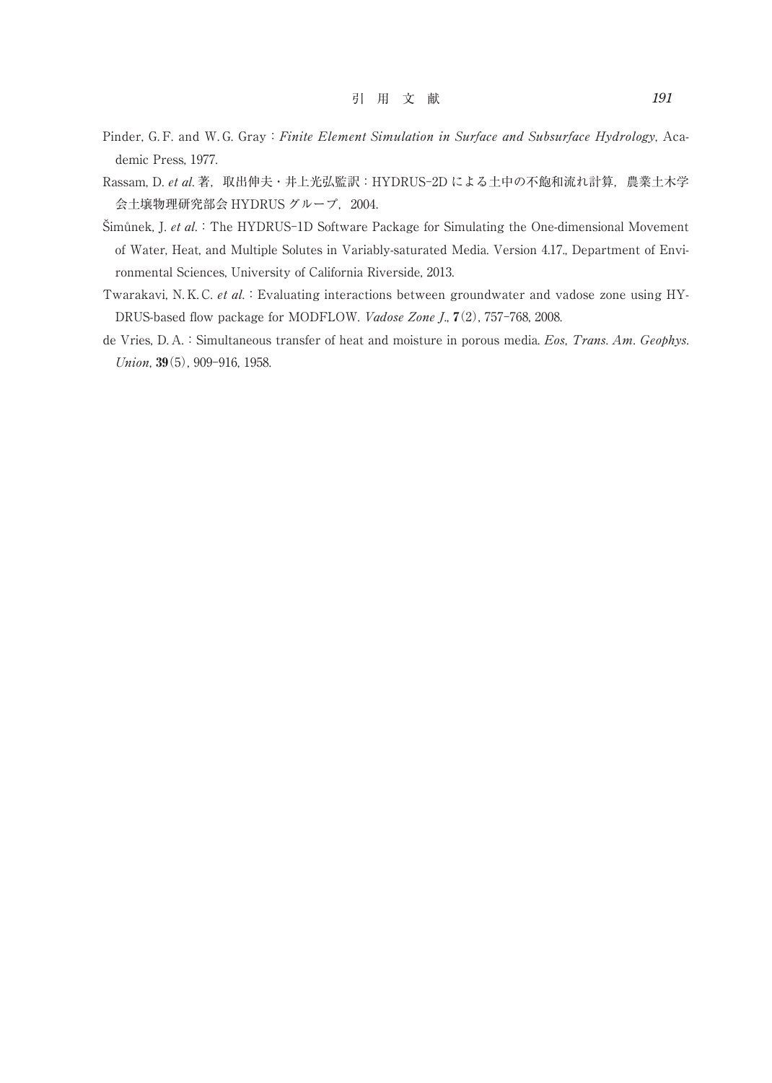- Pinder, G. F. and W. G. Gray: Finite Element Simulation in Surface and Subsurface Hydrology, Academic Press, 1977.
- Rassam, D. et al. 著, 取出伸夫·井上光弘監訳: HYDRUS-2D による土中の不飽和流れ計算, 農業土木学 会土壌物理研究部会 HYDRUS グループ, 2004.
- Šimůnek, J. et al.:The HYDRUS-1D Software Package for Simulating the One-dimensional Movement of Water, Heat, and Multiple Solutes in Variably-saturated Media. Version 4.17., Department of Environmental Sciences, University of California Riverside, 2013.
- Twarakavi, N. K. C. et al.: Evaluating interactions between groundwater and vadose zone using HY-DRUS-based flow package for MODFLOW. Vadose Zone J., 7(2), 757-768, 2008.
- de Vries, D. A.: Simultaneous transfer of heat and moisture in porous media. Eos, Trans. Am. Geophys. Union, 39(5), 909-916, 1958.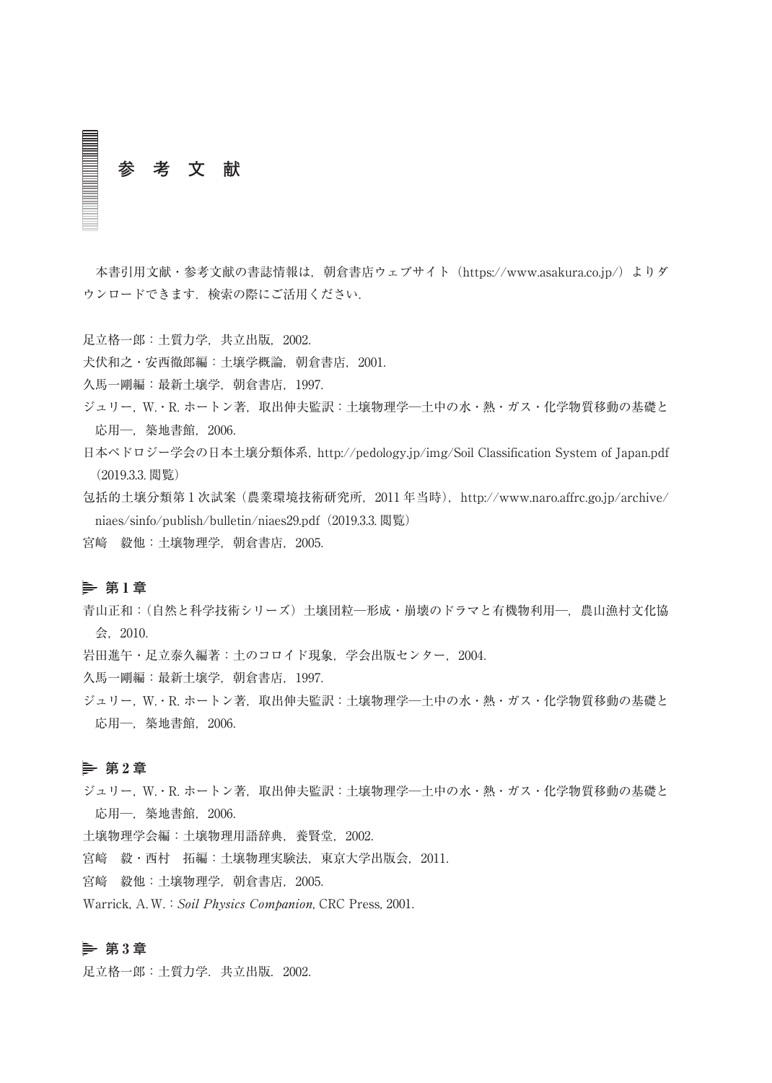**参 考 文 献**

本書引用文献・参考文献の書誌情報は、朝倉書店ウェブサイト (https://www.asakura.co.jp/) よりダ ウンロードできます.検索の際にご活用ください.

足立格一郎:土質力学,共立出版,2002.

犬伏和之・安西徹郎編:土壌学概論,朝倉書店,2001.

久馬一剛編:最新土壌学,朝倉書店,1997.

ジュリー, W.·R. ホートン著, 取出伸夫監訳:土壌物理学--土中の水·熱·ガス·化学物質移動の基礎と 応用─, 築地書館, 2006.

日本ペドロジー学会の日本土壌分類体系,http://pedology.jp/img/Soil Classification System of Japan.pdf (2019.3.3. 閲覧)

包括的土壌分類第1次試案(農業環境技術研究所, 2011 年当時), http://www.naro.affrc.go.jp/archive/ niaes/sinfo/publish/bulletin/niaes29.pdf(2019.3.3. 閲覧)

宮﨑 毅他:土壌物理学,朝倉書店,2005.

#### **第** 1 **章**

青山正和:(自然と科学技術シリーズ)土壌団粒─形成・崩壊のドラマと有機物利用─,農山漁村文化協 会,2010.

岩田進午・足立泰久編著:土のコロイド現象,学会出版センター,2004.

久馬一剛編:最新土壌学,朝倉書店,1997.

ジュリー, W. · R. ホートン著, 取出伸夫監訳:土壌物理学--土中の水·熱·ガス·化学物質移動の基礎と 応用─,築地書館,2006.

#### **第** 2 **章**

ジュリー, W. · R. ホートン著, 取出伸夫監訳:土壌物理学--土中の水·熱·ガス·化学物質移動の基礎と 応用─,築地書館,2006.

土壌物理学会編:土壌物理用語辞典,養賢堂,2002.

宮﨑 毅・西村 拓編:土壌物理実験法,東京大学出版会,2011.

宮﨑 毅他:土壌物理学,朝倉書店,2005.

Warrick, A. W.: Soil Physics Companion, CRC Press, 2001.

# **第** 3 **章**

足立格一郎:土質力学.共立出版.2002.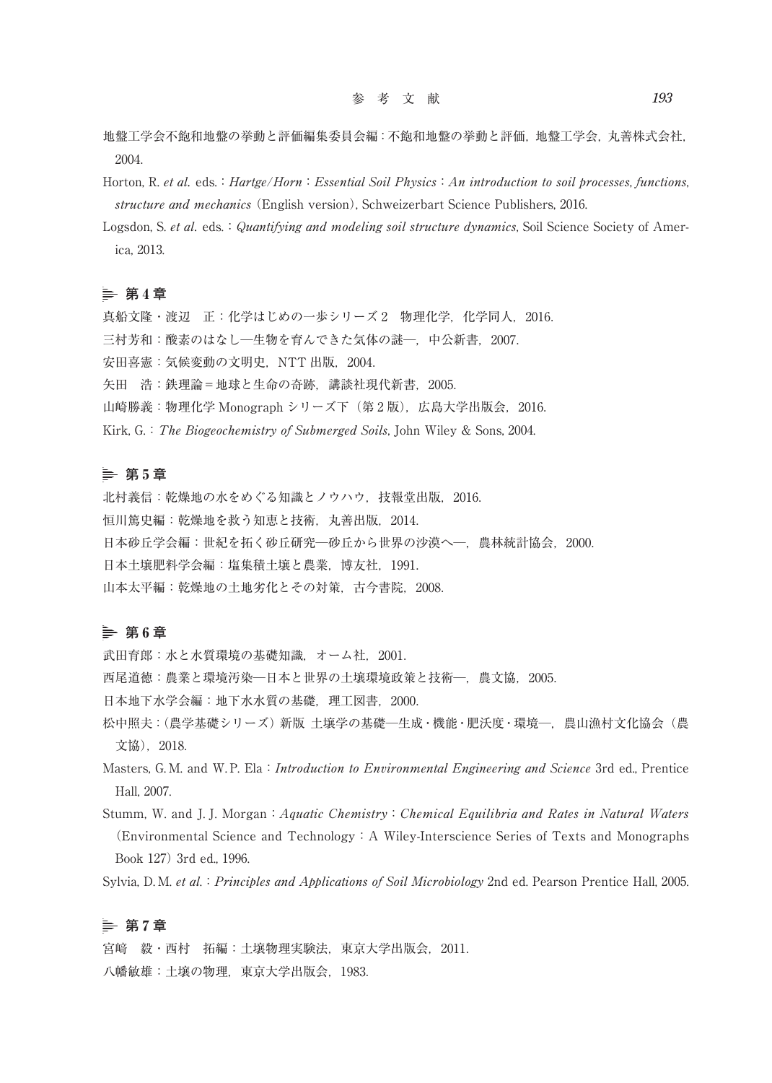- 地盤工学会不飽和地盤の挙動と評価編集委員会編:不飽和地盤の挙動と評価,地盤工学会,丸善株式会社, 2004.
- Horton, R. et al. eds.: Hartge/Horn: Essential Soil Physics: An introduction to soil processes, functions, structure and mechanics (English version), Schweizerbart Science Publishers, 2016.
- Logsdon, S. et al. eds.: Quantifying and modeling soil structure dynamics, Soil Science Society of America, 2013.

#### **第** 4 **章**

- 真船文隆・渡辺 正: 化学はじめの一歩シリーズ 2 物理化学, 化学同人, 2016.
- 三村芳和:酸素のはなし一生物を育んできた気体の謎ー,中公新書, 2007.

安田喜憲:気候変動の文明史,NTT 出版,2004.

- 矢田 浩:鉄理論=地球と生命の奇跡,講談社現代新書,2005.
- 山崎勝義:物理化学 Monograph シリーズ下(第 2 版),広島大学出版会,2016.
- Kirk, G.: The Biogeochemistry of Submerged Soils, John Wiley & Sons, 2004.

#### **第** 5 **章**

北村義信:乾燥地の水をめぐる知識とノウハウ, 技報堂出版, 2016. 恒川篤史編:乾燥地を救う知恵と技術,丸善出版,2014. 日本砂丘学会編:世紀を拓く砂丘研究─砂丘から世界の沙漠へ─,農林統計協会,2000. 日本土壌肥料学会編:塩集積土壌と農業,博友社,1991. 山本太平編:乾燥地の土地劣化とその対策,古今書院,2008.

#### **第** 6 **章**

武田育郎:水と水質環境の基礎知識,オーム社,2001.

- 西尾道徳:農業と環境汚染─日本と世界の土壌環境政策と技術─,農文協,2005.
- 日本地下水学会編:地下水水質の基礎, 理工図書, 2000.
- 松中照夫:(農学基礎シリーズ) 新版 土壌学の基礎一生成・機能・肥沃度·環境一, 農山漁村文化協会(農 文協),2018.
- Masters, G. M. and W. P. Ela: Introduction to Environmental Engineering and Science 3rd ed., Prentice Hall, 2007.
- Stumm, W. and J. J. Morgan: Aquatic Chemistry: Chemical Equilibria and Rates in Natural Waters (Environmental Science and Technology:A Wiley-Interscience Series of Texts and Monographs Book 127) 3rd ed., 1996.

Sylvia, D. M. et al.: Principles and Applications of Soil Microbiology 2nd ed. Pearson Prentice Hall, 2005.

# **第** 7 **章**

宮﨑 毅・西村 拓編:土壌物理実験法,東京大学出版会,2011. 八幡敏雄:土壌の物理,東京大学出版会,1983.